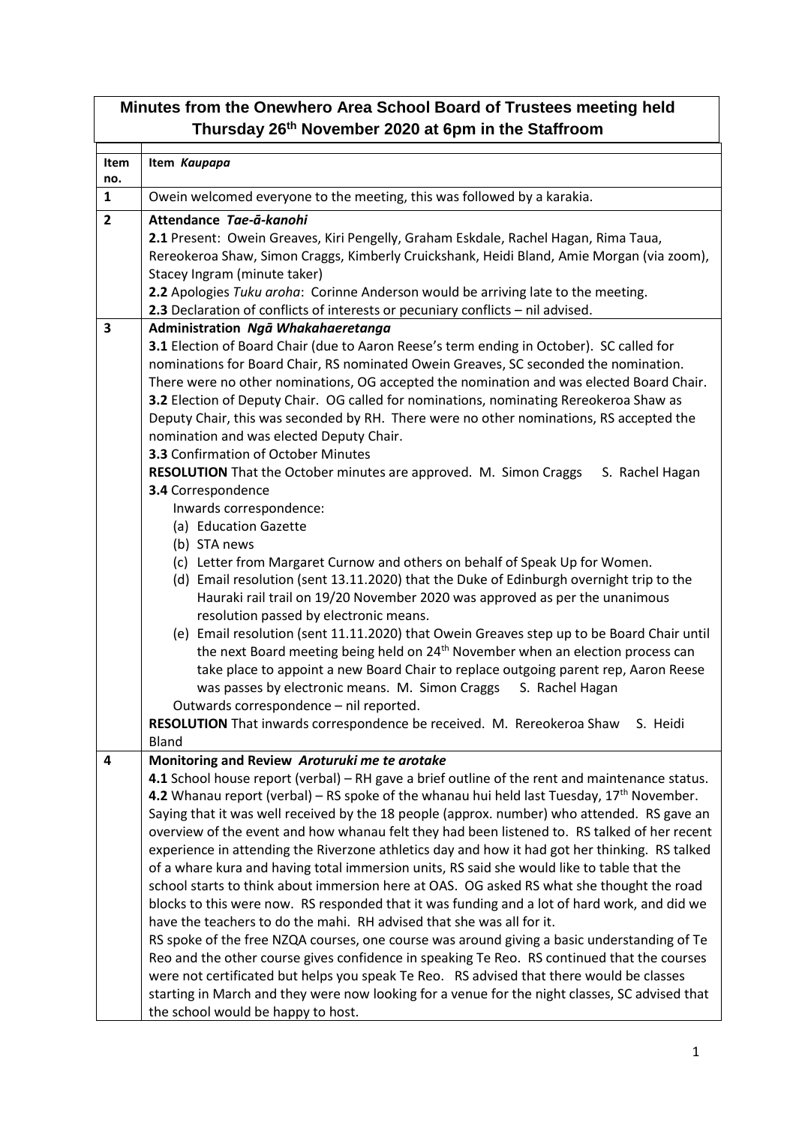| Minutes from the Onewhero Area School Board of Trustees meeting held<br>Thursday 26 <sup>th</sup> November 2020 at 6pm in the Staffroom |                                                                                                                                                                                                                                                                                                                                                                                                                                                                                                                                                                                                                                                                                                                                                                                                                                                                                                                                                                                                                                                                                                                                                                                                                                                                                                                                                                                                                                                                                                                                     |  |  |
|-----------------------------------------------------------------------------------------------------------------------------------------|-------------------------------------------------------------------------------------------------------------------------------------------------------------------------------------------------------------------------------------------------------------------------------------------------------------------------------------------------------------------------------------------------------------------------------------------------------------------------------------------------------------------------------------------------------------------------------------------------------------------------------------------------------------------------------------------------------------------------------------------------------------------------------------------------------------------------------------------------------------------------------------------------------------------------------------------------------------------------------------------------------------------------------------------------------------------------------------------------------------------------------------------------------------------------------------------------------------------------------------------------------------------------------------------------------------------------------------------------------------------------------------------------------------------------------------------------------------------------------------------------------------------------------------|--|--|
| Item<br>no.                                                                                                                             | Item Kaupapa                                                                                                                                                                                                                                                                                                                                                                                                                                                                                                                                                                                                                                                                                                                                                                                                                                                                                                                                                                                                                                                                                                                                                                                                                                                                                                                                                                                                                                                                                                                        |  |  |
| $\mathbf{1}$                                                                                                                            | Owein welcomed everyone to the meeting, this was followed by a karakia.                                                                                                                                                                                                                                                                                                                                                                                                                                                                                                                                                                                                                                                                                                                                                                                                                                                                                                                                                                                                                                                                                                                                                                                                                                                                                                                                                                                                                                                             |  |  |
| $\overline{2}$                                                                                                                          | Attendance Tae-ā-kanohi<br>2.1 Present: Owein Greaves, Kiri Pengelly, Graham Eskdale, Rachel Hagan, Rima Taua,<br>Rereokeroa Shaw, Simon Craggs, Kimberly Cruickshank, Heidi Bland, Amie Morgan (via zoom),<br>Stacey Ingram (minute taker)<br>2.2 Apologies Tuku aroha: Corinne Anderson would be arriving late to the meeting.<br>2.3 Declaration of conflicts of interests or pecuniary conflicts - nil advised.                                                                                                                                                                                                                                                                                                                                                                                                                                                                                                                                                                                                                                                                                                                                                                                                                                                                                                                                                                                                                                                                                                                 |  |  |
| $\overline{\mathbf{3}}$                                                                                                                 | Administration Ngā Whakahaeretanga                                                                                                                                                                                                                                                                                                                                                                                                                                                                                                                                                                                                                                                                                                                                                                                                                                                                                                                                                                                                                                                                                                                                                                                                                                                                                                                                                                                                                                                                                                  |  |  |
|                                                                                                                                         | 3.1 Election of Board Chair (due to Aaron Reese's term ending in October). SC called for<br>nominations for Board Chair, RS nominated Owein Greaves, SC seconded the nomination.<br>There were no other nominations, OG accepted the nomination and was elected Board Chair.<br>3.2 Election of Deputy Chair. OG called for nominations, nominating Rereokeroa Shaw as<br>Deputy Chair, this was seconded by RH. There were no other nominations, RS accepted the<br>nomination and was elected Deputy Chair.<br>3.3 Confirmation of October Minutes<br>RESOLUTION That the October minutes are approved. M. Simon Craggs<br>S. Rachel Hagan<br>3.4 Correspondence<br>Inwards correspondence:<br>(a) Education Gazette<br>(b) STA news<br>(c) Letter from Margaret Curnow and others on behalf of Speak Up for Women.<br>(d) Email resolution (sent 13.11.2020) that the Duke of Edinburgh overnight trip to the<br>Hauraki rail trail on 19/20 November 2020 was approved as per the unanimous<br>resolution passed by electronic means.<br>(e) Email resolution (sent 11.11.2020) that Owein Greaves step up to be Board Chair until<br>the next Board meeting being held on 24 <sup>th</sup> November when an election process can<br>take place to appoint a new Board Chair to replace outgoing parent rep, Aaron Reese<br>was passes by electronic means. M. Simon Craggs<br>S. Rachel Hagan<br>Outwards correspondence - nil reported.<br>RESOLUTION That inwards correspondence be received. M. Rereokeroa Shaw<br>S. Heidi |  |  |
|                                                                                                                                         | <b>Bland</b>                                                                                                                                                                                                                                                                                                                                                                                                                                                                                                                                                                                                                                                                                                                                                                                                                                                                                                                                                                                                                                                                                                                                                                                                                                                                                                                                                                                                                                                                                                                        |  |  |
| 4                                                                                                                                       | Monitoring and Review Aroturuki me te arotake<br>4.1 School house report (verbal) - RH gave a brief outline of the rent and maintenance status.<br>4.2 Whanau report (verbal) – RS spoke of the whanau hui held last Tuesday, $17th$ November.<br>Saying that it was well received by the 18 people (approx. number) who attended. RS gave an<br>overview of the event and how whanau felt they had been listened to. RS talked of her recent<br>experience in attending the Riverzone athletics day and how it had got her thinking. RS talked<br>of a whare kura and having total immersion units, RS said she would like to table that the<br>school starts to think about immersion here at OAS. OG asked RS what she thought the road<br>blocks to this were now. RS responded that it was funding and a lot of hard work, and did we<br>have the teachers to do the mahi. RH advised that she was all for it.<br>RS spoke of the free NZQA courses, one course was around giving a basic understanding of Te<br>Reo and the other course gives confidence in speaking Te Reo. RS continued that the courses<br>were not certificated but helps you speak Te Reo. RS advised that there would be classes<br>starting in March and they were now looking for a venue for the night classes, SC advised that<br>the school would be happy to host.                                                                                                                                                                               |  |  |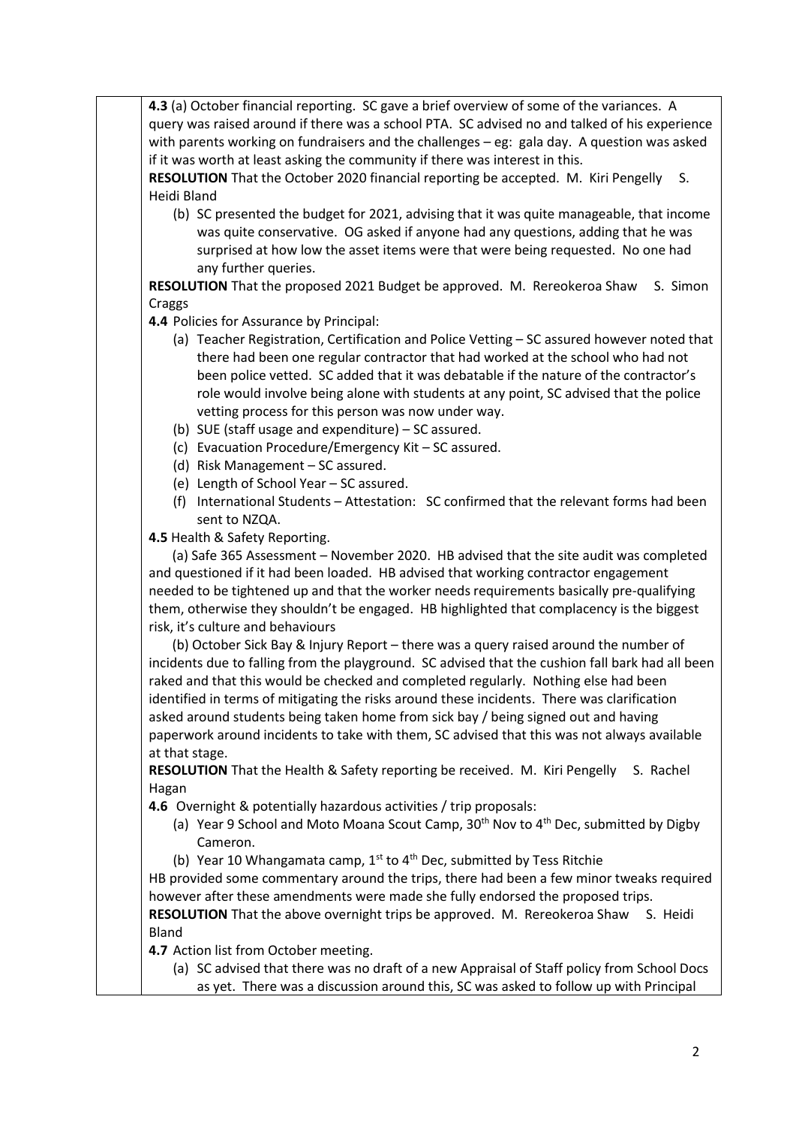**4.3** (a) October financial reporting. SC gave a brief overview of some of the variances. A query was raised around if there was a school PTA. SC advised no and talked of his experience with parents working on fundraisers and the challenges – eg: gala day. A question was asked if it was worth at least asking the community if there was interest in this.

**RESOLUTION** That the October 2020 financial reporting be accepted. M. Kiri Pengelly S. Heidi Bland

(b) SC presented the budget for 2021, advising that it was quite manageable, that income was quite conservative. OG asked if anyone had any questions, adding that he was surprised at how low the asset items were that were being requested. No one had any further queries.

**RESOLUTION** That the proposed 2021 Budget be approved. M. Rereokeroa Shaw S. Simon Craggs

**4.4** Policies for Assurance by Principal:

- (a) Teacher Registration, Certification and Police Vetting SC assured however noted that there had been one regular contractor that had worked at the school who had not been police vetted. SC added that it was debatable if the nature of the contractor's role would involve being alone with students at any point, SC advised that the police vetting process for this person was now under way.
- (b) SUE (staff usage and expenditure) SC assured.
- (c) Evacuation Procedure/Emergency Kit SC assured.
- (d) Risk Management SC assured.
- (e) Length of School Year SC assured.
- (f) International Students Attestation: SC confirmed that the relevant forms had been sent to NZQA.

**4.5** Health & Safety Reporting.

 (a) Safe 365 Assessment – November 2020. HB advised that the site audit was completed and questioned if it had been loaded. HB advised that working contractor engagement needed to be tightened up and that the worker needs requirements basically pre-qualifying them, otherwise they shouldn't be engaged. HB highlighted that complacency is the biggest risk, it's culture and behaviours

 (b) October Sick Bay & Injury Report – there was a query raised around the number of incidents due to falling from the playground. SC advised that the cushion fall bark had all been raked and that this would be checked and completed regularly. Nothing else had been identified in terms of mitigating the risks around these incidents. There was clarification asked around students being taken home from sick bay / being signed out and having paperwork around incidents to take with them, SC advised that this was not always available at that stage.

**RESOLUTION** That the Health & Safety reporting be received. M. Kiri Pengelly S. Rachel Hagan

**4.6** Overnight & potentially hazardous activities / trip proposals:

- (a) Year 9 School and Moto Moana Scout Camp,  $30<sup>th</sup>$  Nov to  $4<sup>th</sup>$  Dec, submitted by Digby Cameron.
- (b) Year 10 Whangamata camp,  $1^{st}$  to  $4^{th}$  Dec, submitted by Tess Ritchie

HB provided some commentary around the trips, there had been a few minor tweaks required however after these amendments were made she fully endorsed the proposed trips. **RESOLUTION** That the above overnight trips be approved. M. Rereokeroa Shaw S. Heidi Bland

**4.7** Action list from October meeting.

(a) SC advised that there was no draft of a new Appraisal of Staff policy from School Docs as yet. There was a discussion around this, SC was asked to follow up with Principal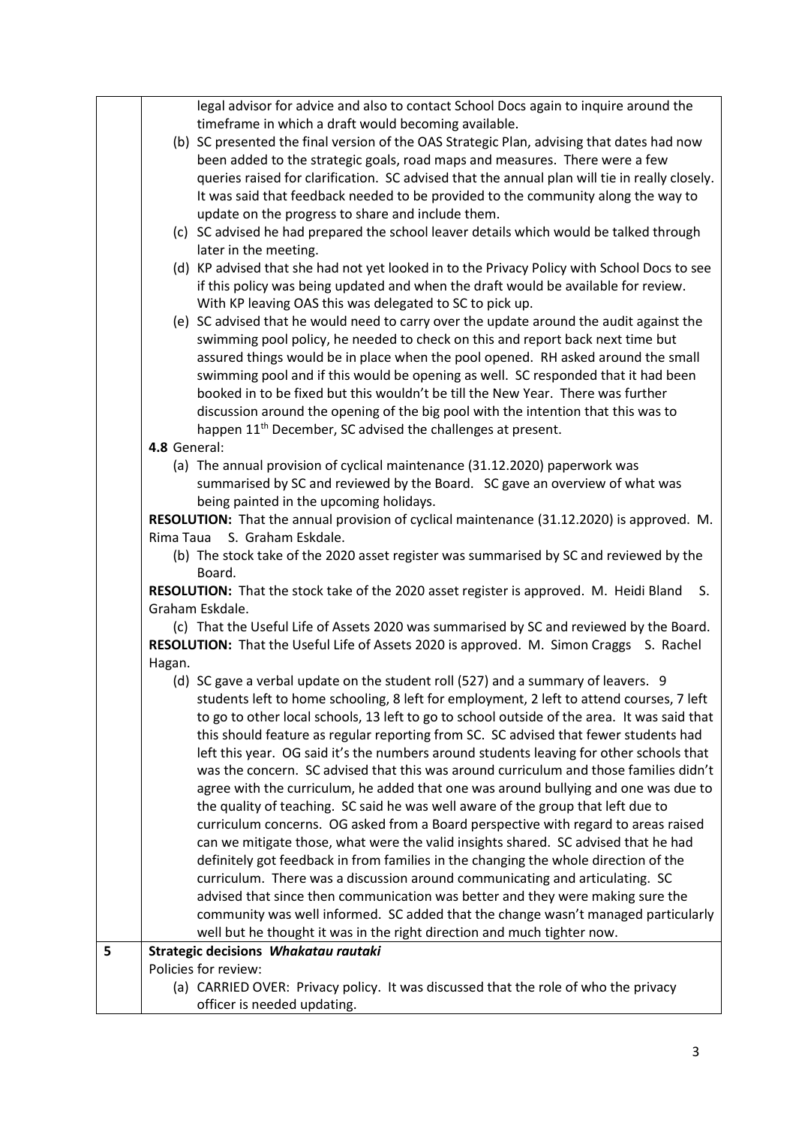|   |              | legal advisor for advice and also to contact School Docs again to inquire around the          |
|---|--------------|-----------------------------------------------------------------------------------------------|
|   |              | timeframe in which a draft would becoming available.                                          |
|   |              | (b) SC presented the final version of the OAS Strategic Plan, advising that dates had now     |
|   |              | been added to the strategic goals, road maps and measures. There were a few                   |
|   |              | queries raised for clarification. SC advised that the annual plan will tie in really closely. |
|   |              | It was said that feedback needed to be provided to the community along the way to             |
|   |              | update on the progress to share and include them.                                             |
|   |              | (c) SC advised he had prepared the school leaver details which would be talked through        |
|   |              | later in the meeting.                                                                         |
|   |              | (d) KP advised that she had not yet looked in to the Privacy Policy with School Docs to see   |
|   |              | if this policy was being updated and when the draft would be available for review.            |
|   |              | With KP leaving OAS this was delegated to SC to pick up.                                      |
|   |              | (e) SC advised that he would need to carry over the update around the audit against the       |
|   |              | swimming pool policy, he needed to check on this and report back next time but                |
|   |              | assured things would be in place when the pool opened. RH asked around the small              |
|   |              | swimming pool and if this would be opening as well. SC responded that it had been             |
|   |              | booked in to be fixed but this wouldn't be till the New Year. There was further               |
|   |              | discussion around the opening of the big pool with the intention that this was to             |
|   |              | happen 11 <sup>th</sup> December, SC advised the challenges at present.                       |
|   | 4.8 General: |                                                                                               |
|   |              | (a) The annual provision of cyclical maintenance (31.12.2020) paperwork was                   |
|   |              | summarised by SC and reviewed by the Board. SC gave an overview of what was                   |
|   |              | being painted in the upcoming holidays.                                                       |
|   |              | RESOLUTION: That the annual provision of cyclical maintenance (31.12.2020) is approved. M.    |
|   |              | Rima Taua S. Graham Eskdale.                                                                  |
|   |              | (b) The stock take of the 2020 asset register was summarised by SC and reviewed by the        |
|   |              | Board.                                                                                        |
|   |              | RESOLUTION: That the stock take of the 2020 asset register is approved. M. Heidi Bland<br>S.  |
|   |              | Graham Eskdale.                                                                               |
|   |              | (c) That the Useful Life of Assets 2020 was summarised by SC and reviewed by the Board.       |
|   |              | RESOLUTION: That the Useful Life of Assets 2020 is approved. M. Simon Craggs S. Rachel        |
|   | Hagan.       |                                                                                               |
|   |              | (d) SC gave a verbal update on the student roll (527) and a summary of leavers. 9             |
|   |              | students left to home schooling, 8 left for employment, 2 left to attend courses, 7 left      |
|   |              | to go to other local schools, 13 left to go to school outside of the area. It was said that   |
|   |              | this should feature as regular reporting from SC. SC advised that fewer students had          |
|   |              | left this year. OG said it's the numbers around students leaving for other schools that       |
|   |              | was the concern. SC advised that this was around curriculum and those families didn't         |
|   |              | agree with the curriculum, he added that one was around bullying and one was due to           |
|   |              | the quality of teaching. SC said he was well aware of the group that left due to              |
|   |              | curriculum concerns. OG asked from a Board perspective with regard to areas raised            |
|   |              | can we mitigate those, what were the valid insights shared. SC advised that he had            |
|   |              | definitely got feedback in from families in the changing the whole direction of the           |
|   |              | curriculum. There was a discussion around communicating and articulating. SC                  |
|   |              | advised that since then communication was better and they were making sure the                |
|   |              | community was well informed. SC added that the change wasn't managed particularly             |
|   |              | well but he thought it was in the right direction and much tighter now.                       |
| 5 |              | Strategic decisions Whakatau rautaki                                                          |
|   |              | Policies for review:                                                                          |
|   |              | (a) CARRIED OVER: Privacy policy. It was discussed that the role of who the privacy           |
|   |              | officer is needed updating.                                                                   |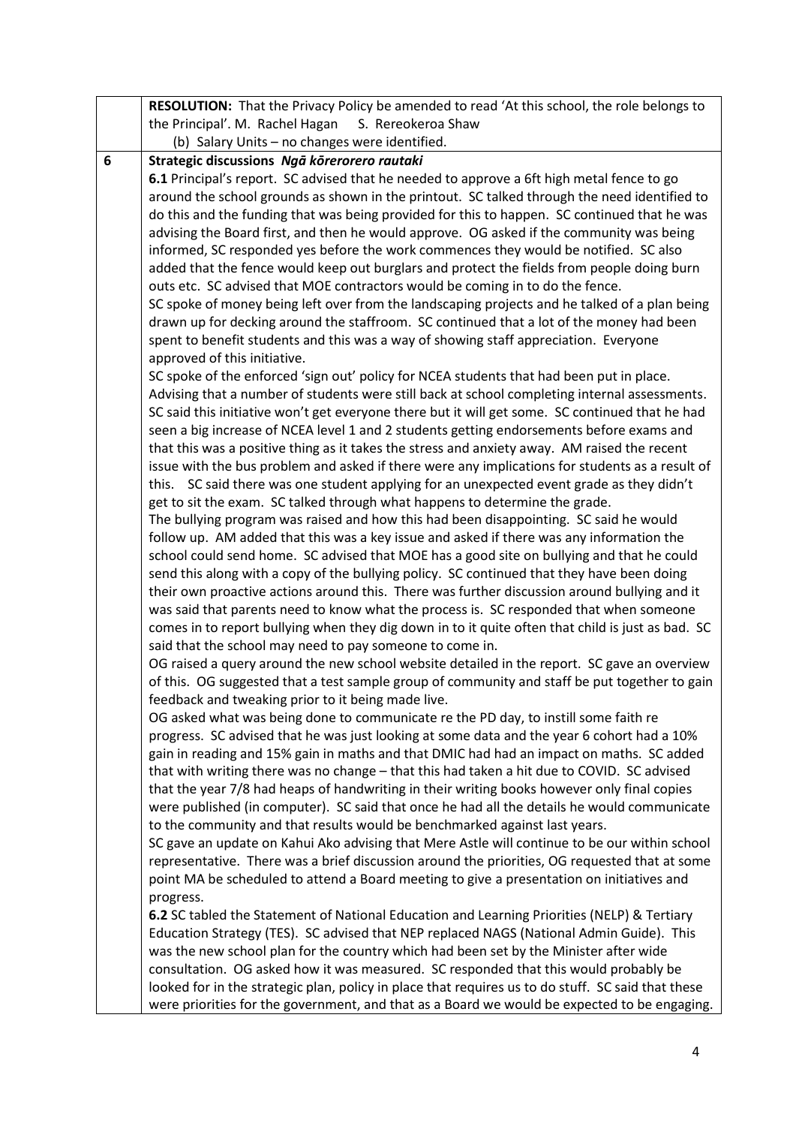| <b>RESOLUTION:</b> That the Privacy Policy be amended to read 'At this school, the role belongs to                                                                                |  |
|-----------------------------------------------------------------------------------------------------------------------------------------------------------------------------------|--|
| the Principal'. M. Rachel Hagan<br>S. Rereokeroa Shaw                                                                                                                             |  |
| (b) Salary Units - no changes were identified.                                                                                                                                    |  |
| 6<br>Strategic discussions Ngā kōrerorero rautaki                                                                                                                                 |  |
| 6.1 Principal's report. SC advised that he needed to approve a 6ft high metal fence to go                                                                                         |  |
| around the school grounds as shown in the printout. SC talked through the need identified to                                                                                      |  |
| do this and the funding that was being provided for this to happen. SC continued that he was                                                                                      |  |
| advising the Board first, and then he would approve. OG asked if the community was being                                                                                          |  |
| informed, SC responded yes before the work commences they would be notified. SC also                                                                                              |  |
| added that the fence would keep out burglars and protect the fields from people doing burn                                                                                        |  |
| outs etc. SC advised that MOE contractors would be coming in to do the fence.                                                                                                     |  |
| SC spoke of money being left over from the landscaping projects and he talked of a plan being                                                                                     |  |
| drawn up for decking around the staffroom. SC continued that a lot of the money had been                                                                                          |  |
| spent to benefit students and this was a way of showing staff appreciation. Everyone                                                                                              |  |
| approved of this initiative.                                                                                                                                                      |  |
| SC spoke of the enforced 'sign out' policy for NCEA students that had been put in place.                                                                                          |  |
| Advising that a number of students were still back at school completing internal assessments.                                                                                     |  |
| SC said this initiative won't get everyone there but it will get some. SC continued that he had                                                                                   |  |
| seen a big increase of NCEA level 1 and 2 students getting endorsements before exams and                                                                                          |  |
| that this was a positive thing as it takes the stress and anxiety away. AM raised the recent                                                                                      |  |
| issue with the bus problem and asked if there were any implications for students as a result of                                                                                   |  |
| this. SC said there was one student applying for an unexpected event grade as they didn't                                                                                         |  |
| get to sit the exam. SC talked through what happens to determine the grade.                                                                                                       |  |
| The bullying program was raised and how this had been disappointing. SC said he would                                                                                             |  |
| follow up. AM added that this was a key issue and asked if there was any information the                                                                                          |  |
| school could send home. SC advised that MOE has a good site on bullying and that he could                                                                                         |  |
| send this along with a copy of the bullying policy. SC continued that they have been doing                                                                                        |  |
| their own proactive actions around this. There was further discussion around bullying and it                                                                                      |  |
| was said that parents need to know what the process is. SC responded that when someone                                                                                            |  |
| comes in to report bullying when they dig down in to it quite often that child is just as bad. SC                                                                                 |  |
| said that the school may need to pay someone to come in.                                                                                                                          |  |
| OG raised a query around the new school website detailed in the report. SC gave an overview                                                                                       |  |
| of this. OG suggested that a test sample group of community and staff be put together to gain                                                                                     |  |
| feedback and tweaking prior to it being made live.                                                                                                                                |  |
| OG asked what was being done to communicate re the PD day, to instill some faith re<br>progress. SC advised that he was just looking at some data and the year 6 cohort had a 10% |  |
| gain in reading and 15% gain in maths and that DMIC had had an impact on maths. SC added                                                                                          |  |
| that with writing there was no change - that this had taken a hit due to COVID. SC advised                                                                                        |  |
| that the year 7/8 had heaps of handwriting in their writing books however only final copies                                                                                       |  |
| were published (in computer). SC said that once he had all the details he would communicate                                                                                       |  |
| to the community and that results would be benchmarked against last years.                                                                                                        |  |
| SC gave an update on Kahui Ako advising that Mere Astle will continue to be our within school                                                                                     |  |
| representative. There was a brief discussion around the priorities, OG requested that at some                                                                                     |  |
| point MA be scheduled to attend a Board meeting to give a presentation on initiatives and                                                                                         |  |
| progress.                                                                                                                                                                         |  |
| 6.2 SC tabled the Statement of National Education and Learning Priorities (NELP) & Tertiary                                                                                       |  |
| Education Strategy (TES). SC advised that NEP replaced NAGS (National Admin Guide). This                                                                                          |  |
| was the new school plan for the country which had been set by the Minister after wide                                                                                             |  |
| consultation. OG asked how it was measured. SC responded that this would probably be                                                                                              |  |
| looked for in the strategic plan, policy in place that requires us to do stuff. SC said that these                                                                                |  |
| were priorities for the government, and that as a Board we would be expected to be engaging.                                                                                      |  |